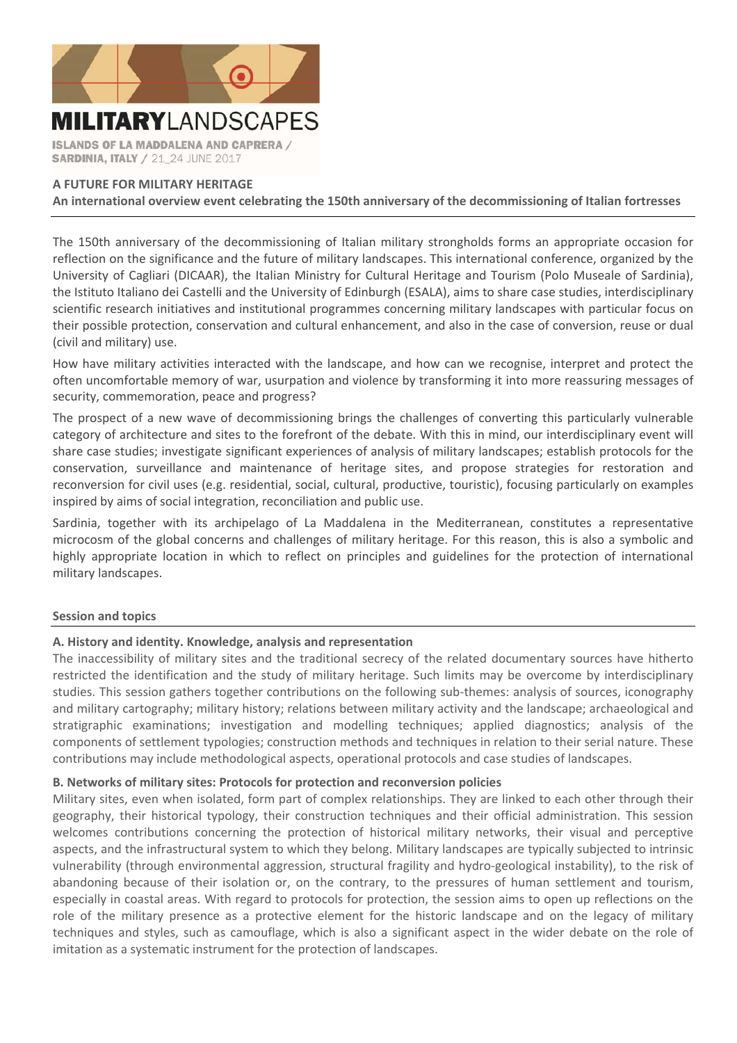

**ISLANDS OF LA MADDALENA AND CAPRERA / SARDINIA, ITALY / 21 24 JUNE 2017** 

## **A FUTURE FOR MILITARY HERITAGE**

**An international overview event celebrating the 150th anniversary of the decommissioning of Italian fortresses** 

The 150th anniversary of the decommissioning of Italian military strongholds forms an appropriate occasion for reflection on the significance and the future of military landscapes. This international conference, organized by the University of Cagliari (DICAAR), the Italian Ministry for Cultural Heritage and Tourism (Polo Museale of Sardinia), the Istituto Italiano dei Castelli and the University of Edinburgh (ESALA), aims to share case studies, interdisciplinary scientific research initiatives and institutional programmes concerning military landscapes with particular focus on their possible protection, conservation and cultural enhancement, and also in the case of conversion, reuse or dual (civil and military) use.

How have military activities interacted with the landscape, and how can we recognise, interpret and protect the often uncomfortable memory of war, usurpation and violence by transforming it into more reassuring messages of security, commemoration, peace and progress?

The prospect of a new wave of decommissioning brings the challenges of converting this particularly vulnerable category of architecture and sites to the forefront of the debate. With this in mind, our interdisciplinary event will share case studies; investigate significant experiences of analysis of military landscapes; establish protocols for the conservation, surveillance and maintenance of heritage sites, and propose strategies for restoration and reconversion for civil uses (e.g. residential, social, cultural, productive, touristic), focusing particularly on examples inspired by aims of social integration, reconciliation and public use.

Sardinia, together with its archipelago of La Maddalena in the Mediterranean, constitutes a representative microcosm of the global concerns and challenges of military heritage. For this reason, this is also a symbolic and highly appropriate location in which to reflect on principles and guidelines for the protection of international military landscapes.

## **Session and topics**

# **A. History and identity. Knowledge, analysis and representation**

The inaccessibility of military sites and the traditional secrecy of the related documentary sources have hitherto restricted the identification and the study of military heritage. Such limits may be overcome by interdisciplinary studies. This session gathers together contributions on the following sub-themes: analysis of sources, iconography and military cartography; military history; relations between military activity and the landscape; archaeological and stratigraphic examinations; investigation and modelling techniques; applied diagnostics; analysis of the components of settlement typologies; construction methods and techniques in relation to their serial nature. These contributions may include methodological aspects, operational protocols and case studies of landscapes.

## **B. Networks of military sites: Protocols for protection and reconversion policies**

Military sites, even when isolated, form part of complex relationships. They are linked to each other through their geography, their historical typology, their construction techniques and their official administration. This session welcomes contributions concerning the protection of historical military networks, their visual and perceptive aspects, and the infrastructural system to which they belong. Military landscapes are typically subjected to intrinsic vulnerability (through environmental aggression, structural fragility and hydro‐geological instability), to the risk of abandoning because of their isolation or, on the contrary, to the pressures of human settlement and tourism, especially in coastal areas. With regard to protocols for protection, the session aims to open up reflections on the role of the military presence as a protective element for the historic landscape and on the legacy of military techniques and styles, such as camouflage, which is also a significant aspect in the wider debate on the role of imitation as a systematic instrument for the protection of landscapes.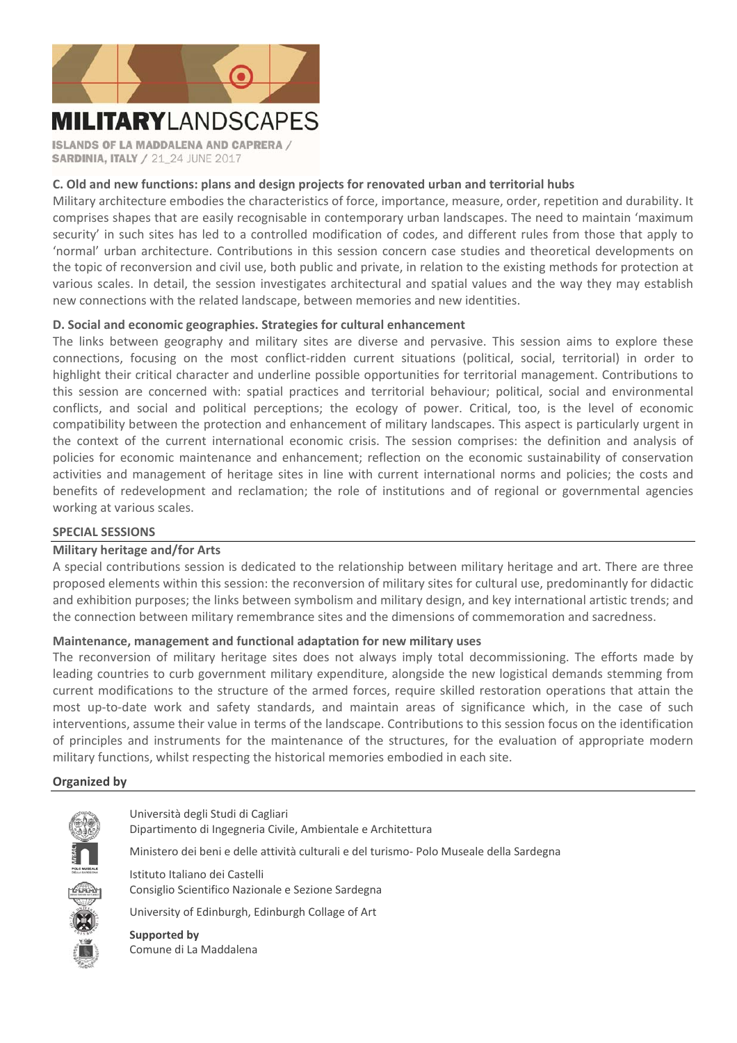

**ISLANDS OF LA MADDALENA AND CAPRERA / SARDINIA, ITALY / 21 24 JUNE 2017** 

# **C. Old and new functions: plans and design projects for renovated urban and territorial hubs**

Military architecture embodies the characteristics of force, importance, measure, order, repetition and durability. It comprises shapes that are easily recognisable in contemporary urban landscapes. The need to maintain 'maximum security' in such sites has led to a controlled modification of codes, and different rules from those that apply to 'normal' urban architecture. Contributions in this session concern case studies and theoretical developments on the topic of reconversion and civil use, both public and private, in relation to the existing methods for protection at various scales. In detail, the session investigates architectural and spatial values and the way they may establish new connections with the related landscape, between memories and new identities.

# **D. Social and economic geographies. Strategies for cultural enhancement**

The links between geography and military sites are diverse and pervasive. This session aims to explore these connections, focusing on the most conflict-ridden current situations (political, social, territorial) in order to highlight their critical character and underline possible opportunities for territorial management. Contributions to this session are concerned with: spatial practices and territorial behaviour; political, social and environmental conflicts, and social and political perceptions; the ecology of power. Critical, too, is the level of economic compatibility between the protection and enhancement of military landscapes. This aspect is particularly urgent in the context of the current international economic crisis. The session comprises: the definition and analysis of policies for economic maintenance and enhancement; reflection on the economic sustainability of conservation activities and management of heritage sites in line with current international norms and policies; the costs and benefits of redevelopment and reclamation; the role of institutions and of regional or governmental agencies working at various scales.

## **SPECIAL SESSIONS**

## **Military heritage and/for Arts**

A special contributions session is dedicated to the relationship between military heritage and art. There are three proposed elements within this session: the reconversion of military sites for cultural use, predominantly for didactic and exhibition purposes; the links between symbolism and military design, and key international artistic trends; and the connection between military remembrance sites and the dimensions of commemoration and sacredness.

## **Maintenance, management and functional adaptation for new military uses**

The reconversion of military heritage sites does not always imply total decommissioning. The efforts made by leading countries to curb government military expenditure, alongside the new logistical demands stemming from current modifications to the structure of the armed forces, require skilled restoration operations that attain the most up-to-date work and safety standards, and maintain areas of significance which, in the case of such interventions, assume their value in terms of the landscape. Contributions to this session focus on the identification of principles and instruments for the maintenance of the structures, for the evaluation of appropriate modern military functions, whilst respecting the historical memories embodied in each site.

## **Organized by**



Università degli Studi di Cagliari Dipartimento di Ingegneria Civile, Ambientale e Architettura Ministero dei beni e delle attività culturali e del turismo‐ Polo Museale della Sardegna Istituto Italiano dei Castelli Consiglio Scientifico Nazionale e Sezione Sardegna University of Edinburgh, Edinburgh Collage of Art **Supported by** 

Comune di La Maddalena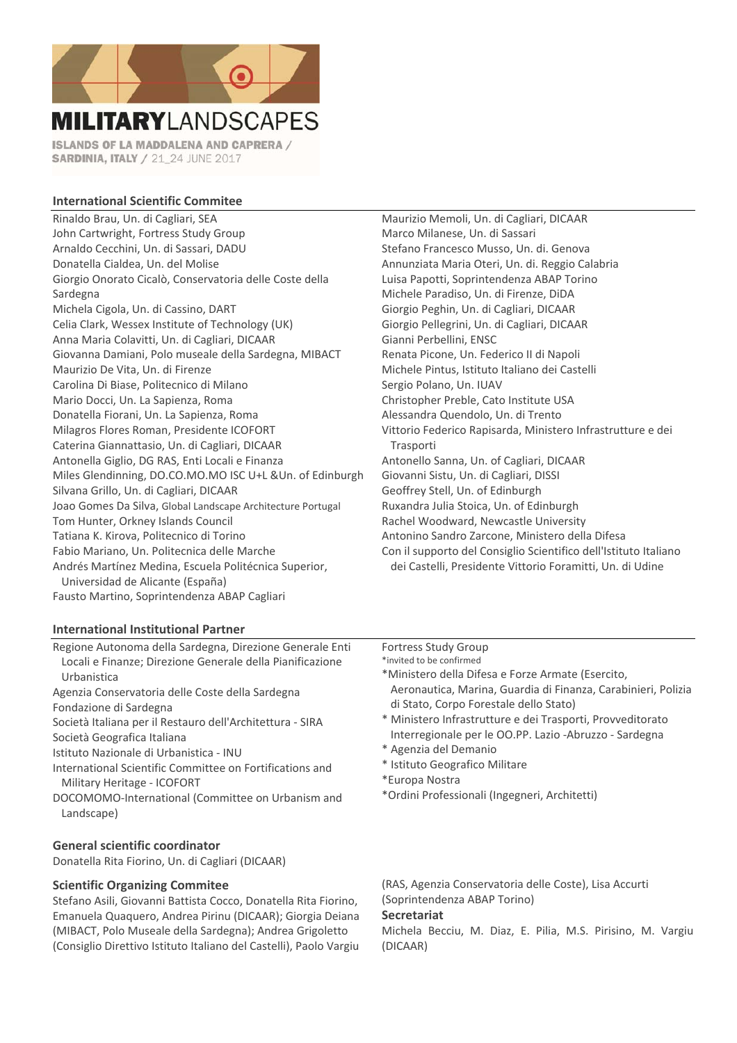

**ISLANDS OF LA MADDALENA AND CAPRERA / SARDINIA, ITALY / 21 24 JUNE 2017** 

## **International Scientific Commitee**

Rinaldo Brau, Un. di Cagliari, SEA John Cartwright, Fortress Study Group Arnaldo Cecchini, Un. di Sassari, DADU Donatella Cialdea, Un. del Molise Giorgio Onorato Cicalò, Conservatoria delle Coste della Sardegna Michela Cigola, Un. di Cassino, DART Celia Clark, Wessex Institute of Technology (UK) Anna Maria Colavitti, Un. di Cagliari, DICAAR Giovanna Damiani, Polo museale della Sardegna, MIBACT Maurizio De Vita, Un. di Firenze Carolina Di Biase, Politecnico di Milano Mario Docci, Un. La Sapienza, Roma Donatella Fiorani, Un. La Sapienza, Roma Milagros Flores Roman, Presidente ICOFORT Caterina Giannattasio, Un. di Cagliari, DICAAR Antonella Giglio, DG RAS, Enti Locali e Finanza Miles Glendinning, DO.CO.MO.MO ISC U+L &Un. of Edinburgh Silvana Grillo, Un. di Cagliari, DICAAR Joao Gomes Da Silva, Global Landscape Architecture Portugal Tom Hunter, Orkney Islands Council Tatiana K. Kirova, Politecnico di Torino Fabio Mariano, Un. Politecnica delle Marche Andrés Martínez Medina, Escuela Politécnica Superior, Universidad de Alicante (España) Fausto Martino, Soprintendenza ABAP Cagliari

## **International Institutional Partner**

Regione Autonoma della Sardegna, Direzione Generale Enti Locali e Finanze; Direzione Generale della Pianificazione Urbanistica

Agenzia Conservatoria delle Coste della Sardegna Fondazione di Sardegna

Società Italiana per il Restauro dell'Architettura ‐ SIRA Società Geografica Italiana

Istituto Nazionale di Urbanistica ‐ INU

International Scientific Committee on Fortifications and Military Heritage ‐ ICOFORT

DOCOMOMO‐International (Committee on Urbanism and Landscape)

## **General scientific coordinator**

Donatella Rita Fiorino, Un. di Cagliari (DICAAR)

### **Scientific Organizing Commitee**

Stefano Asili, Giovanni Battista Cocco, Donatella Rita Fiorino, Emanuela Quaquero, Andrea Pirinu (DICAAR); Giorgia Deiana (MIBACT, Polo Museale della Sardegna); Andrea Grigoletto (Consiglio Direttivo Istituto Italiano del Castelli), Paolo Vargiu

Maurizio Memoli, Un. di Cagliari, DICAAR Marco Milanese, Un. di Sassari Stefano Francesco Musso, Un. di. Genova Annunziata Maria Oteri, Un. di. Reggio Calabria Luisa Papotti, Soprintendenza ABAP Torino Michele Paradiso, Un. di Firenze, DiDA Giorgio Peghin, Un. di Cagliari, DICAAR Giorgio Pellegrini, Un. di Cagliari, DICAAR Gianni Perbellini, ENSC Renata Picone, Un. Federico II di Napoli Michele Pintus, Istituto Italiano dei Castelli Sergio Polano, Un. IUAV Christopher Preble, Cato Institute USA Alessandra Quendolo, Un. di Trento Vittorio Federico Rapisarda, Ministero Infrastrutture e dei **Trasporti** Antonello Sanna, Un. of Cagliari, DICAAR Giovanni Sistu, Un. di Cagliari, DISSI Geoffrey Stell, Un. of Edinburgh Ruxandra Julia Stoica, Un. of Edinburgh Rachel Woodward, Newcastle University Antonino Sandro Zarcone, Ministero della Difesa Con il supporto del Consiglio Scientifico dell'Istituto Italiano dei Castelli, Presidente Vittorio Foramitti, Un. di Udine

## Fortress Study Group

\*invited to be confirmed

\*Ministero della Difesa e Forze Armate (Esercito, Aeronautica, Marina, Guardia di Finanza, Carabinieri, Polizia di Stato, Corpo Forestale dello Stato)

- \* Ministero Infrastrutture e dei Trasporti, Provveditorato Interregionale per le OO.PP. Lazio ‐Abruzzo ‐ Sardegna
- \* Agenzia del Demanio
- \* Istituto Geografico Militare
- \*Europa Nostra
- \*Ordini Professionali (Ingegneri, Architetti)

(RAS, Agenzia Conservatoria delle Coste), Lisa Accurti (Soprintendenza ABAP Torino)

## **Secretariat**

Michela Becciu, M. Diaz, E. Pilia, M.S. Pirisino, M. Vargiu (DICAAR)